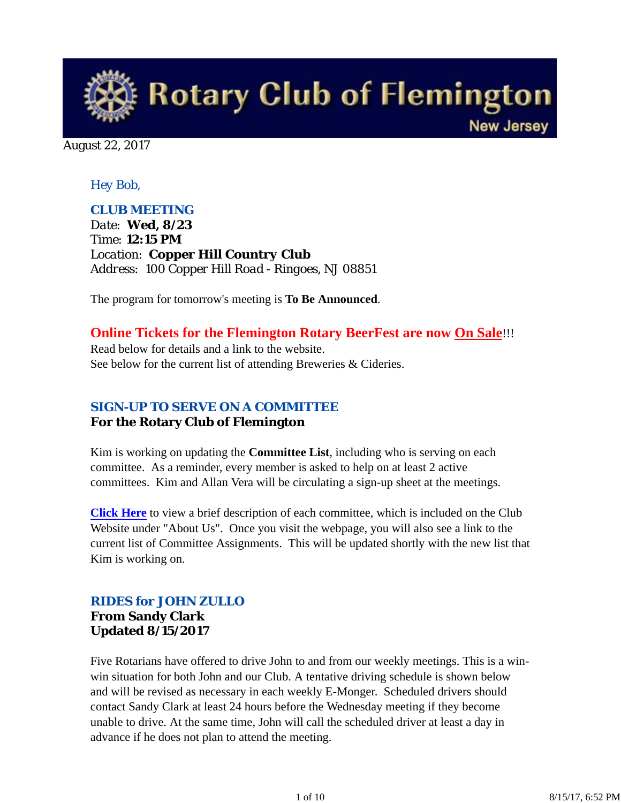

August 22, 2017

# *Hey Bob,*

## *CLUB MEETING*

*Date: Wed, 8/23 Time: 12:15 PM Location: Copper Hill Country Club Address: 100 Copper Hill Road - Ringoes, NJ 08851*

The program for tomorrow's meeting is **To Be Announced**.

# **Online Tickets for the Flemington Rotary BeerFest are now On Sale**!!!

Read below for details and a link to the website. See below for the current list of attending Breweries & Cideries.

# *SIGN-UP TO SERVE ON A COMMITTEE*

## **For the Rotary Club of Flemington**

Kim is working on updating the **Committee List**, including who is serving on each committee. As a reminder, every member is asked to help on at least 2 active committees. Kim and Allan Vera will be circulating a sign-up sheet at the meetings.

**Click Here** to view a brief description of each committee, which is included on the Club Website under "About Us". Once you visit the webpage, you will also see a link to the current list of Committee Assignments. This will be updated shortly with the new list that Kim is working on.

# *RIDES for JOHN ZULLO* **From Sandy Clark Updated 8/15/2017**

Five Rotarians have offered to drive John to and from our weekly meetings. This is a winwin situation for both John and our Club. A tentative driving schedule is shown below and will be revised as necessary in each weekly E-Monger. Scheduled drivers should contact Sandy Clark at least 24 hours before the Wednesday meeting if they become unable to drive. At the same time, John will call the scheduled driver at least a day in advance if he does not plan to attend the meeting.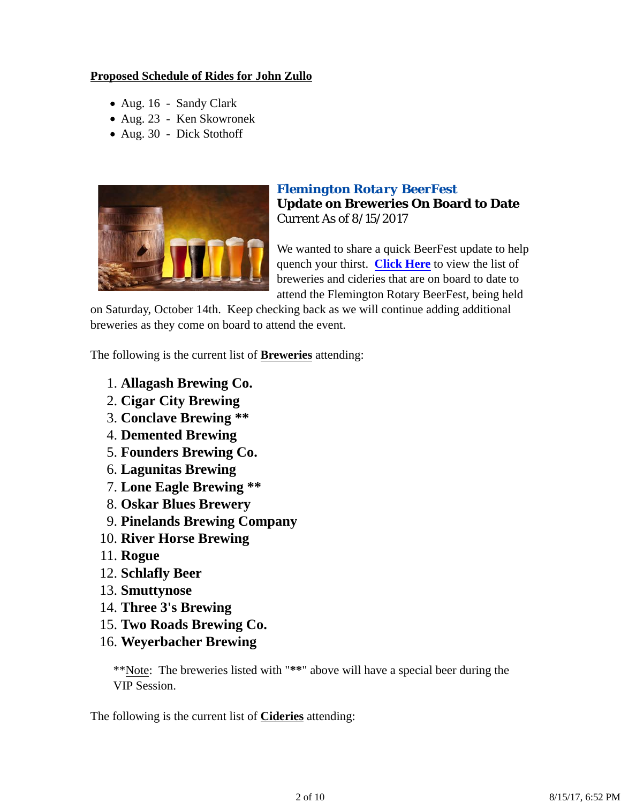# **Proposed Schedule of Rides for John Zullo**

- Aug. 16 Sandy Clark
- Aug. 23 Ken Skowronek
- Aug. 30 Dick Stothoff



# *Flemington Rotary BeerFest* **Update on Breweries On Board to Date** Current As of 8/15/2017

We wanted to share a quick BeerFest update to help quench your thirst. **Click Here** to view the list of breweries and cideries that are on board to date to attend the Flemington Rotary BeerFest, being held

on Saturday, October 14th. Keep checking back as we will continue adding additional breweries as they come on board to attend the event.

The following is the current list of **Breweries** attending:

- 1. **Allagash Brewing Co.**
- 2. **Cigar City Brewing**
- 3. **Conclave Brewing \*\***
- 4. **Demented Brewing**
- 5. **Founders Brewing Co.**
- 6. **Lagunitas Brewing**
- 7. **Lone Eagle Brewing \*\***
- 8. **Oskar Blues Brewery**
- 9. **Pinelands Brewing Company**
- 10. **River Horse Brewing**
- 11. **Rogue**
- 12. **Schlafly Beer**
- 13. **Smuttynose**
- 14. **Three 3's Brewing**
- 15. **Two Roads Brewing Co.**
- 16. **Weyerbacher Brewing**

\*\*Note: The breweries listed with "**\*\***" above will have a special beer during the VIP Session.

The following is the current list of **Cideries** attending: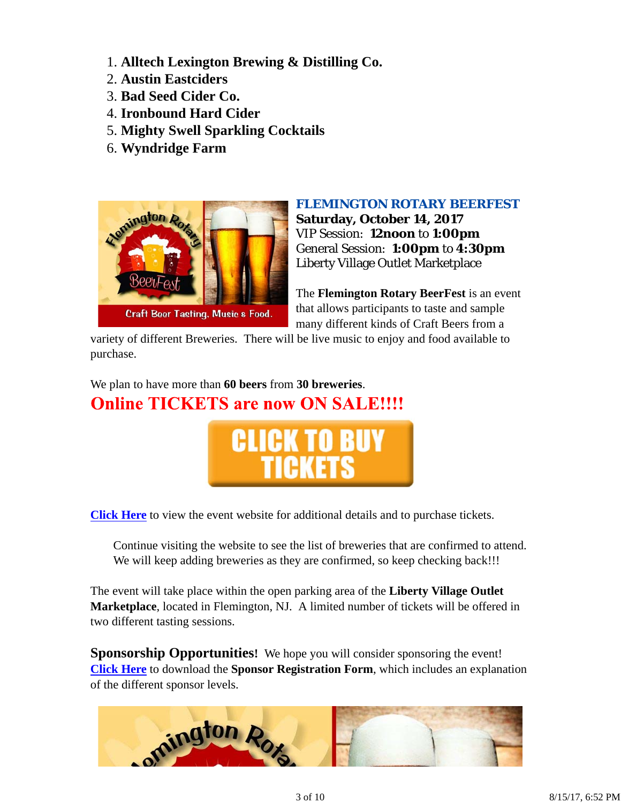- 1. **Alltech Lexington Brewing & Distilling Co.**
- 2. **Austin Eastciders**
- 3. **Bad Seed Cider Co.**
- 4. **Ironbound Hard Cider**
- 5. **Mighty Swell Sparkling Cocktails**
- 6. **Wyndridge Farm**



## *FLEMINGTON ROTARY BEERFEST*

**Saturday, October 14, 2017** VIP Session: **12noon** to **1:00pm** General Session: **1:00pm** to **4:30pm** Liberty Village Outlet Marketplace

The **Flemington Rotary BeerFest** is an event that allows participants to taste and sample many different kinds of Craft Beers from a

variety of different Breweries. There will be live music to enjoy and food available to purchase.

We plan to have more than **60 beers** from **30 breweries**. **Online TICKETS are now ON SALE!!!!** 



**Click Here** to view the event website for additional details and to purchase tickets.

Continue visiting the website to see the list of breweries that are confirmed to attend. We will keep adding breweries as they are confirmed, so keep checking back!!!

The event will take place within the open parking area of the **Liberty Village Outlet Marketplace**, located in Flemington, NJ. A limited number of tickets will be offered in two different tasting sessions.

**Sponsorship Opportunities!** We hope you will consider sponsoring the event! **Click Here** to download the **Sponsor Registration Form**, which includes an explanation of the different sponsor levels.

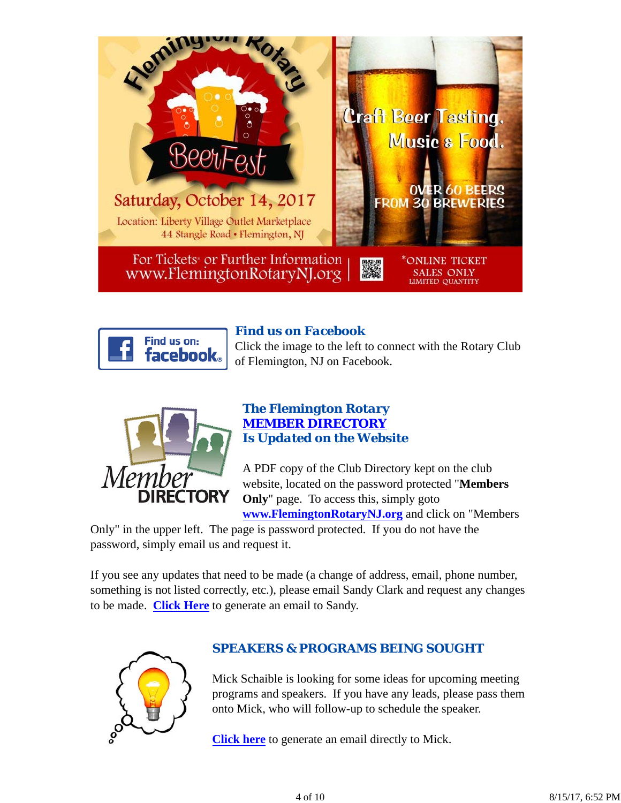



# *Find us on Facebook*

Click the image to the left to connect with the Rotary Club of Flemington, NJ on Facebook.



# *The Flemington Rotary MEMBER DIRECTORY Is Updated on the Website*

A PDF copy of the Club Directory kept on the club website, located on the password protected "**Members Only**" page. To access this, simply goto

**www.FlemingtonRotaryNJ.org** and click on "Members

Only" in the upper left. The page is password protected. If you do not have the password, simply email us and request it.

If you see any updates that need to be made (a change of address, email, phone number, something is not listed correctly, etc.), please email Sandy Clark and request any changes to be made. **Click Here** to generate an email to Sandy.



# *SPEAKERS & PROGRAMS BEING SOUGHT*

Mick Schaible is looking for some ideas for upcoming meeting programs and speakers. If you have any leads, please pass them onto Mick, who will follow-up to schedule the speaker.

**Click here** to generate an email directly to Mick.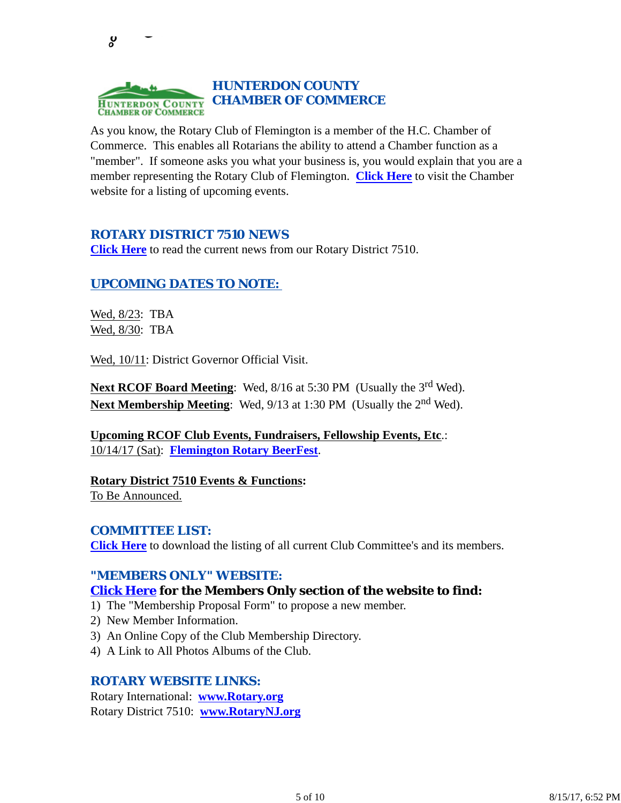

As you know, the Rotary Club of Flemington is a member of the H.C. Chamber of Commerce. This enables all Rotarians the ability to attend a Chamber function as a "member". If someone asks you what your business is, you would explain that you are a member representing the Rotary Club of Flemington. **Click Here** to visit the Chamber website for a listing of upcoming events.

## *ROTARY DISTRICT 7510 NEWS*

**Click Here** to read the current news from our Rotary District 7510.

# *UPCOMING DATES TO NOTE:*

Wed, 8/23: TBA Wed, 8/30: TBA

ပ္စ

Wed, 10/11: District Governor Official Visit.

Next RCOF Board Meeting: Wed, 8/16 at 5:30 PM (Usually the 3<sup>rd</sup> Wed). **Next Membership Meeting:** Wed, 9/13 at 1:30 PM (Usually the 2<sup>nd</sup> Wed).

**Upcoming RCOF Club Events, Fundraisers, Fellowship Events, Etc**.: 10/14/17 (Sat): **Flemington Rotary BeerFest**.

**Rotary District 7510 Events & Functions:** To Be Announced.

#### *COMMITTEE LIST:*

**Click Here** to download the listing of all current Club Committee's and its members.

#### *"MEMBERS ONLY" WEBSITE:*

## **Click Here for the Members Only section of the website to find:**

- 1) The "Membership Proposal Form" to propose a new member.
- 2) New Member Information.
- 3) An Online Copy of the Club Membership Directory.
- 4) A Link to All Photos Albums of the Club.

#### *ROTARY WEBSITE LINKS:*

Rotary International: **www.Rotary.org** Rotary District 7510: **www.RotaryNJ.org**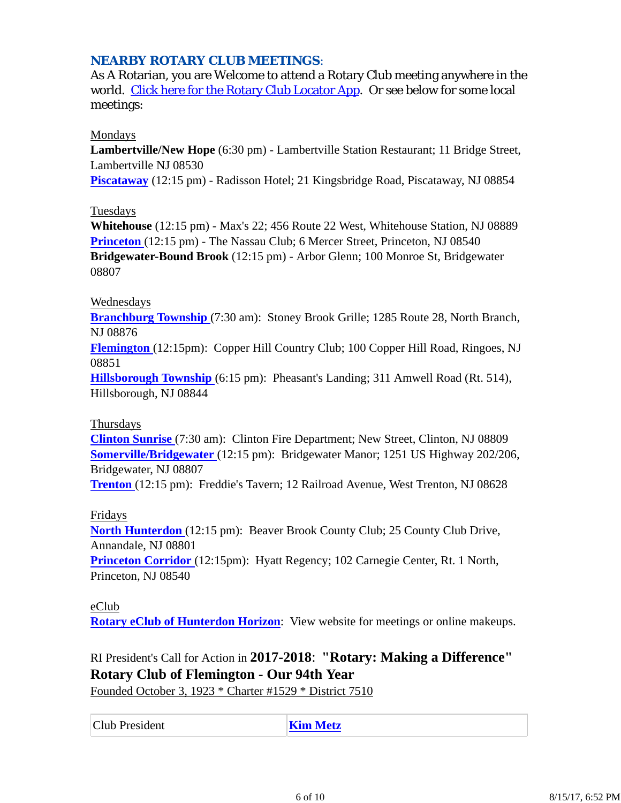# *NEARBY ROTARY CLUB MEETINGS:*

As A Rotarian, you are Welcome to attend a Rotary Club meeting anywhere in the world. Click here for the Rotary Club Locator App. Or see below for some local meetings:

#### Mondays

**Lambertville/New Hope** (6:30 pm) - Lambertville Station Restaurant; 11 Bridge Street, Lambertville NJ 08530

**Piscataway** (12:15 pm) - Radisson Hotel; 21 Kingsbridge Road, Piscataway, NJ 08854

#### Tuesdays

**Whitehouse** (12:15 pm) - Max's 22; 456 Route 22 West, Whitehouse Station, NJ 08889 **Princeton** (12:15 pm) - The Nassau Club; 6 Mercer Street, Princeton, NJ 08540 **Bridgewater-Bound Brook** (12:15 pm) - Arbor Glenn; 100 Monroe St, Bridgewater 08807

#### Wednesdays

**Branchburg Township** (7:30 am): Stoney Brook Grille; 1285 Route 28, North Branch, NJ 08876

**Flemington** (12:15pm): Copper Hill Country Club; 100 Copper Hill Road, Ringoes, NJ 08851

**Hillsborough Township** (6:15 pm): Pheasant's Landing; 311 Amwell Road (Rt. 514), Hillsborough, NJ 08844

#### Thursdays

**Clinton Sunrise** (7:30 am): Clinton Fire Department; New Street, Clinton, NJ 08809 **Somerville/Bridgewater** (12:15 pm): Bridgewater Manor; 1251 US Highway 202/206, Bridgewater, NJ 08807

**Trenton** (12:15 pm): Freddie's Tavern; 12 Railroad Avenue, West Trenton, NJ 08628

## Fridays

**North Hunterdon** (12:15 pm): Beaver Brook County Club; 25 County Club Drive, Annandale, NJ 08801

**Princeton Corridor** (12:15pm): Hyatt Regency; 102 Carnegie Center, Rt. 1 North, Princeton, NJ 08540

## eClub

**Rotary eClub of Hunterdon Horizon**: View website for meetings or online makeups.

# RI President's Call for Action in **2017-2018**: **"Rotary: Making a Difference" Rotary Club of Flemington - Our 94th Year**

Founded October 3, 1923 \* Charter #1529 \* District 7510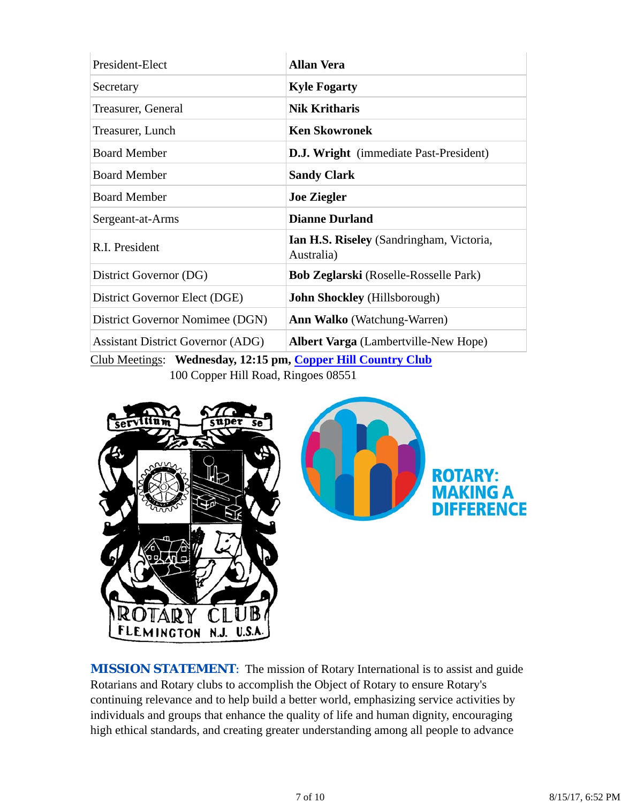| President-Elect                                                                     | <b>Allan Vera</b>                                      |  |  |
|-------------------------------------------------------------------------------------|--------------------------------------------------------|--|--|
| Secretary                                                                           | <b>Kyle Fogarty</b>                                    |  |  |
| Treasurer, General                                                                  | <b>Nik Kritharis</b>                                   |  |  |
| Treasurer, Lunch                                                                    | <b>Ken Skowronek</b>                                   |  |  |
| <b>Board Member</b>                                                                 | <b>D.J. Wright</b> (immediate Past-President)          |  |  |
| <b>Board Member</b>                                                                 | <b>Sandy Clark</b>                                     |  |  |
| <b>Board Member</b>                                                                 | <b>Joe Ziegler</b>                                     |  |  |
| Sergeant-at-Arms                                                                    | <b>Dianne Durland</b>                                  |  |  |
| R.I. President                                                                      | Ian H.S. Riseley (Sandringham, Victoria,<br>Australia) |  |  |
| District Governor (DG)                                                              | <b>Bob Zeglarski</b> (Roselle-Rosselle Park)           |  |  |
| District Governor Elect (DGE)                                                       | <b>John Shockley</b> (Hillsborough)                    |  |  |
| District Governor Nomimee (DGN)                                                     | <b>Ann Walko</b> (Watchung-Warren)                     |  |  |
| <b>Assistant District Governor (ADG)</b>                                            | <b>Albert Varga</b> (Lambertville-New Hope)            |  |  |
| $C_{\rm lab}$ Mostings: Wodnesday 12:15 nm $C_{\rm app}$ Hill $C_{\rm output}$ Club |                                                        |  |  |

Club Meetings: **Wednesday, 12:15 pm, Copper Hill Country Club** 100 Copper Hill Road, Ringoes 08551



**MISSION STATEMENT:** The mission of Rotary International is to assist and guide Rotarians and Rotary clubs to accomplish the Object of Rotary to ensure Rotary's continuing relevance and to help build a better world, emphasizing service activities by individuals and groups that enhance the quality of life and human dignity, encouraging high ethical standards, and creating greater understanding among all people to advance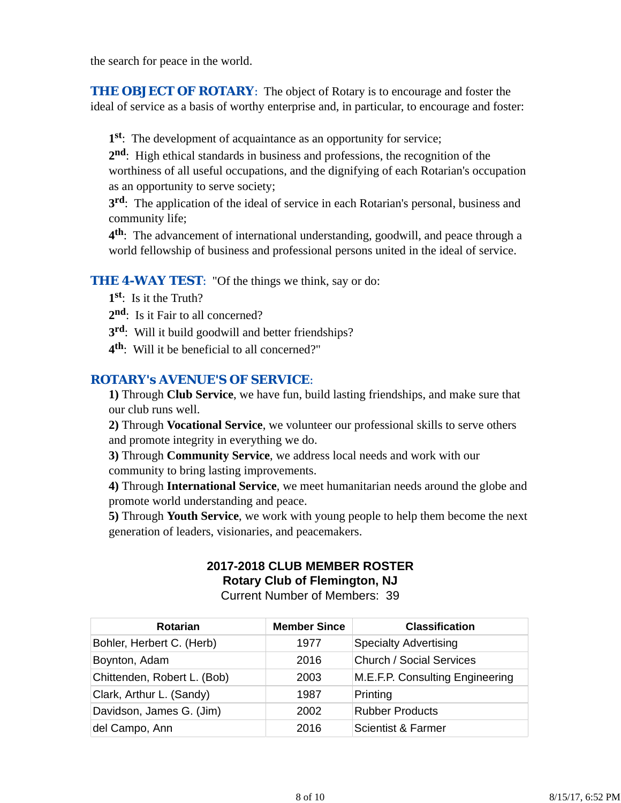the search for peace in the world.

**THE OBJECT OF ROTARY:** The object of Rotary is to encourage and foster the ideal of service as a basis of worthy enterprise and, in particular, to encourage and foster:

**1st**: The development of acquaintance as an opportunity for service;

**2nd**: High ethical standards in business and professions, the recognition of the worthiness of all useful occupations, and the dignifying of each Rotarian's occupation as an opportunity to serve society;

**3rd**: The application of the ideal of service in each Rotarian's personal, business and community life;

**4th**: The advancement of international understanding, goodwill, and peace through a world fellowship of business and professional persons united in the ideal of service.

## **THE 4-WAY TEST:** "Of the things we think, say or do:

- **1st**: Is it the Truth?
- 2<sup>nd</sup>: Is it Fair to all concerned?
- **3rd**: Will it build goodwill and better friendships?
- **4th**: Will it be beneficial to all concerned?"

## *ROTARY's AVENUE'S OF SERVICE*:

**1)** Through **Club Service**, we have fun, build lasting friendships, and make sure that our club runs well.

**2)** Through **Vocational Service**, we volunteer our professional skills to serve others and promote integrity in everything we do.

**3)** Through **Community Service**, we address local needs and work with our community to bring lasting improvements.

**4)** Through **International Service**, we meet humanitarian needs around the globe and promote world understanding and peace.

**5)** Through **Youth Service**, we work with young people to help them become the next generation of leaders, visionaries, and peacemakers.

#### **2017-2018 CLUB MEMBER ROSTER Rotary Club of Flemington, NJ**

Current Number of Members: 39

| <b>Rotarian</b>             | <b>Member Since</b> | <b>Classification</b>           |
|-----------------------------|---------------------|---------------------------------|
| Bohler, Herbert C. (Herb)   | 1977                | <b>Specialty Advertising</b>    |
| Boynton, Adam               | 2016                | <b>Church / Social Services</b> |
| Chittenden, Robert L. (Bob) | 2003                | M.E.F.P. Consulting Engineering |
| Clark, Arthur L. (Sandy)    | 1987                | Printing                        |
| Davidson, James G. (Jim)    | 2002                | <b>Rubber Products</b>          |
| del Campo, Ann              | 2016                | Scientist & Farmer              |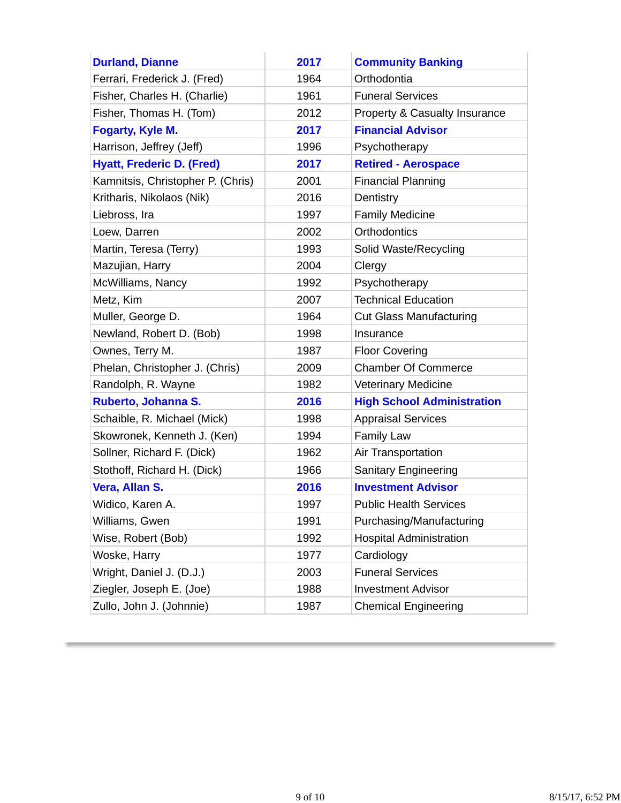| <b>Durland, Dianne</b>            | 2017 | <b>Community Banking</b>          |
|-----------------------------------|------|-----------------------------------|
| Ferrari, Frederick J. (Fred)      | 1964 | Orthodontia                       |
| Fisher, Charles H. (Charlie)      | 1961 | <b>Funeral Services</b>           |
| Fisher, Thomas H. (Tom)           | 2012 | Property & Casualty Insurance     |
| Fogarty, Kyle M.                  | 2017 | <b>Financial Advisor</b>          |
| Harrison, Jeffrey (Jeff)          | 1996 | Psychotherapy                     |
| <b>Hyatt, Frederic D. (Fred)</b>  | 2017 | <b>Retired - Aerospace</b>        |
| Kamnitsis, Christopher P. (Chris) | 2001 | <b>Financial Planning</b>         |
| Kritharis, Nikolaos (Nik)         | 2016 | Dentistry                         |
| Liebross, Ira                     | 1997 | <b>Family Medicine</b>            |
| Loew, Darren                      | 2002 | <b>Orthodontics</b>               |
| Martin, Teresa (Terry)            | 1993 | Solid Waste/Recycling             |
| Mazujian, Harry                   | 2004 | Clergy                            |
| McWilliams, Nancy                 | 1992 | Psychotherapy                     |
| Metz, Kim                         | 2007 | <b>Technical Education</b>        |
| Muller, George D.                 | 1964 | <b>Cut Glass Manufacturing</b>    |
| Newland, Robert D. (Bob)          | 1998 | Insurance                         |
| Ownes, Terry M.                   | 1987 | <b>Floor Covering</b>             |
| Phelan, Christopher J. (Chris)    | 2009 | <b>Chamber Of Commerce</b>        |
| Randolph, R. Wayne                | 1982 | <b>Veterinary Medicine</b>        |
| Ruberto, Johanna S.               | 2016 | <b>High School Administration</b> |
| Schaible, R. Michael (Mick)       | 1998 | <b>Appraisal Services</b>         |
| Skowronek, Kenneth J. (Ken)       | 1994 | <b>Family Law</b>                 |
| Sollner, Richard F. (Dick)        | 1962 | Air Transportation                |
| Stothoff, Richard H. (Dick)       | 1966 | <b>Sanitary Engineering</b>       |
| Vera, Allan S.                    | 2016 | <b>Investment Advisor</b>         |
| Widico, Karen A.                  | 1997 | <b>Public Health Services</b>     |
| Williams, Gwen                    | 1991 | Purchasing/Manufacturing          |
| Wise, Robert (Bob)                | 1992 | <b>Hospital Administration</b>    |
| Woske, Harry                      | 1977 | Cardiology                        |
| Wright, Daniel J. (D.J.)          | 2003 | <b>Funeral Services</b>           |
| Ziegler, Joseph E. (Joe)          | 1988 | <b>Investment Advisor</b>         |
| Zullo, John J. (Johnnie)          | 1987 | <b>Chemical Engineering</b>       |